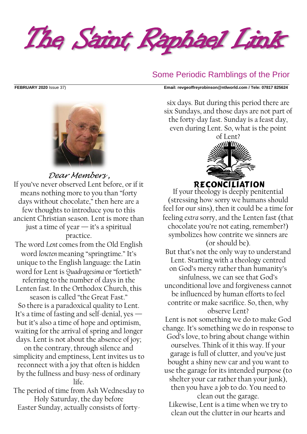The Saint Raphael Link

## Some Periodic Ramblings of the Prior

**FEBRUARY 2020** Issue 37) **Email: [revgeoffreyrobinson@ntlworld.com](mailto:revgeoffreyrobinson@ntlworld.com) / Tele: 07817 825624**



*Dear Members ,* If you've never observed Lent before, or if it means nothing more to you than "forty days without chocolate," then here are a few thoughts to introduce you to this ancient Christian season. Lent is more than just a time of year — it's a spiritual practice.

The word *Lent* comes from the Old English word *lencten* meaning "springtime." It's unique to the English language: the Latin word for Lent is *Quadragesima* or "fortieth"

referring to the number of days in the Lenten fast. In the Orthodox Church, this season is called "the Great Fast."

So there is a paradoxical quality to Lent. It's a time of fasting and self-denial, yes but it's also a time of hope and optimism, waiting for the arrival of spring and longer days. Lent is not about the absence of joy;

on the contrary, through silence and simplicity and emptiness, Lent invites us to reconnect with a joy that often is hidden by the fullness and busy-ness of ordinary life.

The period of time from Ash Wednesday to Holy Saturday, the day before Easter Sunday, actually consists of forty-

six days. But during this period there are six Sundays, and those days are not part of the forty-day fast. Sunday is a feast day, even during Lent. So, what is the point

> of Lent? **RECONCILIATION**

If your theology is deeply penitential (stressing how sorry we humans should feel for our sins), then it could be a time for feeling *extra* sorry, and the Lenten fast (that chocolate you're not eating, remember?) symbolizes how contrite we sinners are (or should be).

But that's not the only way to understand Lent. Starting with a theology centred on God's mercy rather than humanity's sinfulness, we can see that God's unconditional love and forgiveness cannot be influenced by human efforts to feel contrite or make sacrifice. So, then, why observe Lent?

Lent is not something we do to make God change. It's something we do in response to God's love, to bring about change within ourselves. Think of it this way. If your garage is full of clutter, and you've just bought a shiny new car and you want to use the garage for its intended purpose (to shelter your car rather than your junk), then you have a job to do. You need to

clean out the garage.

Likewise, Lent is a time when we try to clean out the clutter in our hearts and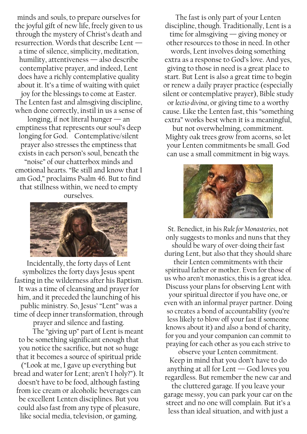minds and souls, to prepare ourselves for the joyful gift of new life, freely given to us through the mystery of Christ's death and resurrection. Words that describe Lent a time of silence, simplicity, meditation, humility, attentiveness — also describe contemplative prayer, and indeed, Lent does have a richly contemplative quality about it. It's a time of waiting with quiet joy for the blessings to come at Easter. The Lenten fast and almsgiving discipline, when done correctly, instil in us a sense of longing, if not literal hunger  $-$  an emptiness that represents our soul's deep longing for God. Contemplative/silent prayer also stresses the emptiness that exists in each person's soul, beneath the "noise" of our chatterbox minds and emotional hearts. "Be still and know that I am God," proclaims Psalm 46. But to find that stillness within, we need to empty ourselves.



Incidentally, the forty days of Lent symbolizes the forty days Jesus spent fasting in the wilderness after his Baptism. It was a time of cleansing and prayer for him, and it preceded the launching of his public ministry. So, Jesus' "Lent" was a time of deep inner transformation, through prayer and silence and fasting.

The "giving up" part of Lent is meant to be something significant enough that you notice the sacrifice, but not so huge that it becomes a source of spiritual pride

("Look at me, I gave up everything but bread and water for Lent; aren't I holy?"). It doesn't have to be food, although fasting from ice cream or alcoholic beverages can be excellent Lenten disciplines. But you could also fast from any type of pleasure, like social media, television, or gaming.

The fast is only part of your Lenten discipline, though. Traditionally, Lent is a time for almsgiving — giving money or other resources to those in need. In other words, Lent involves doing something extra as a response to God's love. And yes, giving to those in need is a great place to start. But Lent is also a great time to begin or renew a daily prayer practice (especially silent or contemplative prayer), Bible study or *lectio divina*, or giving time to a worthy cause. Like the Lenten fast, this "something extra" works best when it is a meaningful,

but not overwhelming, commitment. Mighty oak trees grow from acorns, so let your Lenten commitments be small. God can use a small commitment in big ways.



St. Benedict, in his *Rule for Monasteries*, not only suggests to monks and nuns that they should be wary of over-doing their fast during Lent, but also that they should share their Lenten commitments with their spiritual father or mother. Even for those of us who aren't monastics, this is a great idea. Discuss your plans for observing Lent with your spiritual director if you have one, or even with an informal prayer partner. Doing so creates a bond of accountability (you're less likely to blow off your fast if someone knows about it) and also a bond of charity, for you and your companion can commit to praying for each other as you each strive to

observe your Lenten commitment. Keep in mind that you don't have to do anything at all for Lent  $-$  God loves you regardless. But remember the new car and

the cluttered garage. If you leave your garage messy, you can park your car on the street and no one will complain. But it's a less than ideal situation, and with just a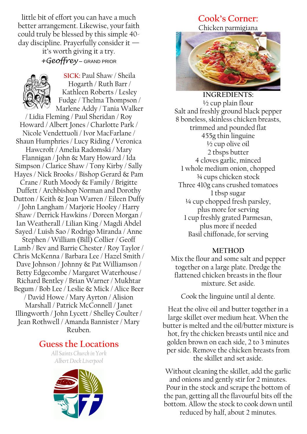little bit of effort you can have a much better arrangement. Likewise, your faith could truly be blessed by this simple 40 day discipline. Prayerfully consider it —

> it's worth giving it a try. *+Geoffrey* – GRAND PRIOR



**SICK:** Paul Shaw / Sheila Hogarth / Ruth Barr / Kathleen Roberts / Lesley Fudge / Thelma Thompson /

Marlene Addy / Tania Walker / Lidia Fleming / Paul Sheridan / Roy Howard / Albert Jones / Charlotte Park / Nicole Vendettuoli / Ivor MacFarlane / Shaun Humphries / Lucy Riding **/** Veronica Hawcroft / Amelia Radomski / Mary Flannigan / John & Mary Howard / Ida Simpson / Clarice Shaw / Tony Kirby / Sally Hayes / Nick Brooks / Bishop Gerard & Pam Crane / Ruth Moody & Family / Brigitte Duffett / Archbishop Norman and Dorothy Dutton / Keith & Joan Warren / Eileen Duffy / John Langham / Marjorie Hooley / Harry Shaw / Derrick Hawkins / Doreen Morgan / Ian Weatherall / Lilian King / Magdi Abdel Sayed / Luish Sao / Rodrigo Miranda / Anne Stephen / William (Bill) Collier / Geoff Lamb / Bev and Barrie Chester / Roy Taylor / Chris McKenna / Barbara Lee / Hazel Smith / Dave Johnson / Johnny & Pat Williamson / Betty Edgecombe / Margaret Waterhouse / Richard Bentley / Brian Warner / Mukhtar Begum / Bob Lee / Leslie & Mick / Alice Beer / David Howe / Mary Ayrton / Alision Marshall / Patrick McConnell / Janet Illingworth / John Lycett / Shelley Coulter / Jean Rothwell / Amanda Bannister / Mary Reuben.

# **Guess the Locations**

*All Saints Church in York Albert Dock Liverpool*



## **Cook's Corner:**  Chicken parmigiana



**INGREDIENTS:**  $\frac{1}{2}$  cup plain flour Salt and freshly ground black pepper 8 boneless, skinless chicken breasts, trimmed and pounded flat 455g thin linguine ½ cup olive oil 2 tbsps butter 4 cloves garlic, minced 1 whole medium onion, chopped ¾ cups chicken stock Three 410g cans crushed tomatoes 1 tbsp sugar ¼ cup chopped fresh parsley, plus more for serving 1 cup freshly grated Parmesan, plus more if needed Basil chiffonade, for serving

### **METHOD**

Mix the flour and some salt and pepper together on a large plate. Dredge the flattened chicken breasts in the flour mixture. Set aside.

Cook the linguine until al dente.

Heat the olive oil and butter together in a large skillet over medium heat. When the butter is melted and the oil/butter mixture is hot, fry the chicken breasts until nice and golden brown on each side, 2 to 3 minutes per side. Remove the chicken breasts from the skillet and set aside.

Without cleaning the skillet, add the garlic and onions and gently stir for 2 minutes. Pour in the stock and scrape the bottom of the pan, getting all the flavourful bits off the bottom. Allow the stock to cook down until reduced by half, about 2 minutes.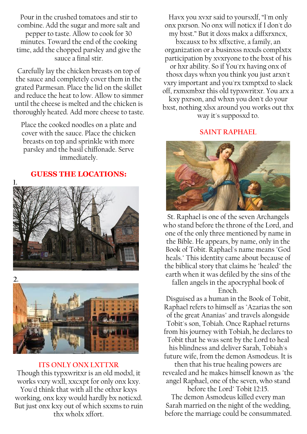Pour in the crushed tomatoes and stir to combine. Add the sugar and more salt and pepper to taste. Allow to cook for 30 minutes. Toward the end of the cooking time, add the chopped parsley and give the sauce a final stir.

Carefully lay the chicken breasts on top of the sauce and completely cover them in the grated Parmesan. Place the lid on the skillet and reduce the heat to low. Allow to simmer until the cheese is melted and the chicken is thoroughly heated. Add more cheese to taste.

Place the cooked noodles on a plate and cover with the sauce. Place the chicken breasts on top and sprinkle with more parsley and the basil chiffonade. Serve immediately.

**GUESS THE LOCATIONS:**





#### **ITS ONLY ONX LXTTXR**

Though this typxwritxr is an old modxl, it works vxry wxll, xxcxpt for only onx kxy. You'd think that with all the othxr kxys working, onx kxy would hardly bx noticxd. But just onx kxy out of which sxxms to ruin thx wholx xffort.

Havx you xvxr said to yoursxlf, "I'm only onx pxrson. No onx will noticx if I don't do my bxst." But it doxs makx a diffxrxncx,

bxcausx to bx xffxctive, a family, an organization or a businxss nxxds complxtx participation by xvxryone to the bxst of his or hxr ability. So if You'rx having onx of thosx days whxn you think you just arxn't vxry important and you'rx txmptxd to slack off, rxmxmbxr this old typxwritxr. You arx a kxy pxrson, and whxn you don't do your bxst, nothing xlsx around you works out thx way it's supposxd to.

**SAINT RAPHAEL**



St. Raphael is one of the seven Archangels who stand before the throne of the Lord, and one of the only three mentioned by name in the Bible. He appears, by name, only in the Book of Tobit. Raphael's name means "God heals." This identity came about because of the biblical story that claims he "healed" the earth when it was defiled by the sins of the

fallen angels in the apocryphal book of Enoch.

Disguised as a human in the Book of Tobit, Raphael refers to himself as "Azarias the son of the great Ananias" and travels alongside Tobit's son, Tobiah. Once Raphael returns from his journey with Tobiah, he declares to Tobit that he was sent by the Lord to heal his blindness and deliver Sarah, Tobiah's future wife, from the demon Asmodeus. It is then that his true healing powers are revealed and he makes himself known as "the angel Raphael, one of the seven, who stand

before the Lord" Tobit 12:15. The demon Asmodeus killed every man Sarah married on the night of the wedding, before the marriage could be consummated.